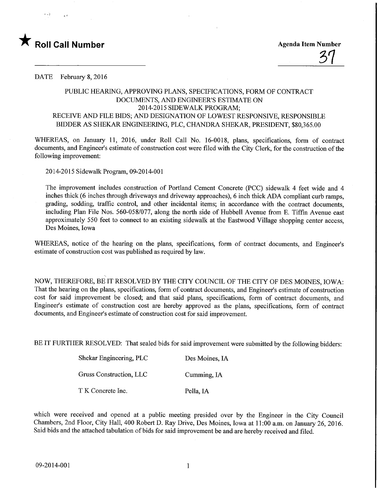

DATE February 8, 2016

## PUBLIC HEARING, APPROVING PLANS, SPECIFICATIONS, FORM OF CONTRACT DOCUMENTS, AND ENGINEER'S ESTIMATE ON 2014-2015 SIDEWALK PROGRAM: RECEIVE AND FILE BIDS; AND DESIGNATION OF LOWEST RESPONSFVE, RESPONSIBLE BIDDER AS SHEKAR ENGINEERING, PLC, CHANDRA SHEKAR, PRESIDENT, \$80,365.00

WHEREAS, on January 11, 2016, under Roll Call No. 16-0018, plans, specifications, form of contract documents, and Engineer's estimate of construction cost were filed with the City Clerk, for the construction of the following improvement:

2014-2015 Sidewalk Program, 09-2014-001

The improvement includes construction of Portland Cement Concrete (PCC) sidewalk 4 feet wide and 4 inches thick (6 inches through driveways and driveway approaches), 6 inch thick ADA compliant curb ramps, grading, sodding, traffic control, and other incidental items; in accordance with the contract documents, including Plan File Nos. 560-058/077, along the north side of Hubbell Avenue from E. Tiffin Avenue east approximately 550 feet to connect to an existing sidewalk at the Eastwood Village shopping center access, Des Moines, Iowa

WHEREAS, notice of the hearing on the plans, specifications, form of contract documents, and Engineer's estimate of construction cost was published as required by law.

NOW, THEREFORE, BE IT RESOLVED BY THE CITY COUNCIL OF THE CITY OF DES MOINES, IOWA: That the hearing on the plans, specifications, form of contract documents, and Engineer's estimate of construction cost for said improvement be closed; and that said plans, specifications, form of contract documents, and Engineer's estimate of construction cost are hereby approved as the plans, specifications, form of contract documents, and Engineer's estimate of construction cost for said improvement.

BE IT FURTHER RESOLVED: That sealed bids for said improvement were submitted by the following bidders:

| Shekar Engineering, PLC | Des Moines, IA |
|-------------------------|----------------|
| Gruss Construction, LLC | Cumming, IA    |
| T K Concrete Inc.       | Pella, IA      |

which were received and opened at a public meeting presided over by the Engineer in the City Council Chambers, 2nd Floor, City Hall, 400 Robert D. Ray Drive, Des Moines, Iowa at 11:00 a.m. on January 26, 2016. Said bids and the attached tabulation of bids for said improvement be and are hereby received and filed.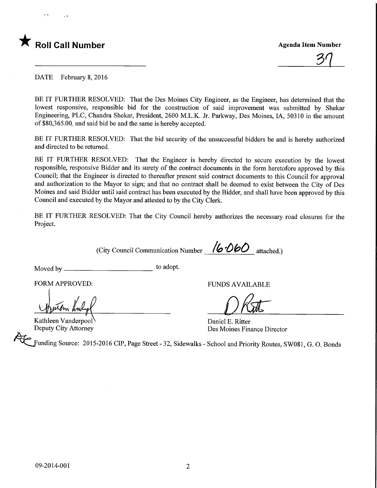

37

DATE February 8, 2016

BE IT FURTHER RESOLVED: That the Des Moines City Engineer, as the Engineer, has determined that the lowest responsive, responsible bid for the construction of said improvement was submitted by Shekar Engineering, PLC, Chandra Shekar, President, 2600 M.L.K. Jr. Parkway, Des Moines, LA, 50310 in the amount of \$80,365.00, and said bid be and the same is hereby accepted.

BE IT FURTHER RESOLVED: That the bid security of the unsuccessful bidders be and is hereby authorized and directed to be returned.

BE IT FURTHER RESOLVED: That the Engineer is hereby directed to secure execution by the lowest responsible, responsive Bidder and its surety of the contract documents in the form heretofore approved by this Council; that the Engineer is directed to thereafter present said contract documents to this Council for approval and authorization to the Mayor to sign; and that no contract shall be deemed to exist between the City of Des Moines and said Bidder until said contract has been executed by the Bidder, and shall have been approved by this Council and executed by the Mayor and attested to by the City Clerk.

BE IT FURTHER RESOLVED: That the City Council hereby authorizes the necessary road closures for the Project.

(City Council Communication Number  $16-060$  attached.)

Moved by  $\equiv$ to adopt.

FORM APPROVED:

Kathleen Vanderpool' Deputy City Attorney

FUNDS AVAILABLE

Daniel E. Ritter Des Moines Finance Director

Funding Source: 2015-2016 CIP, Page Street - 32, Sidewalks - School and Priority Routes, SW081, G. O. Bonds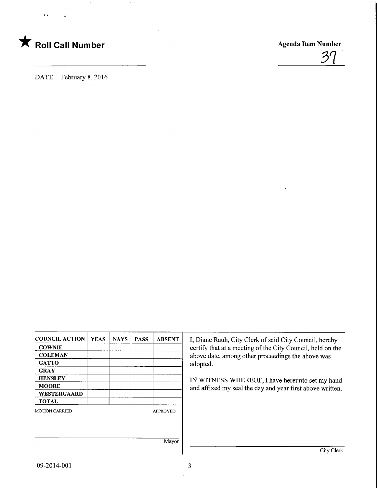

 $\mathbf{A}$ 

 $\overline{\mathbf{r}}$ 



DATE February 8, 2016

| <b>COUNCIL ACTION</b> | <b>YEAS</b> | <b>NAYS</b> | <b>PASS</b> | <b>ABSENT</b>   |
|-----------------------|-------------|-------------|-------------|-----------------|
| <b>COWNIE</b>         |             |             |             |                 |
| <b>COLEMAN</b>        |             |             |             |                 |
| <b>GATTO</b>          |             |             |             |                 |
| <b>GRAY</b>           |             |             |             |                 |
| <b>HENSLEY</b>        |             |             |             |                 |
| <b>MOORE</b>          |             |             |             |                 |
| WESTERGAARD           |             |             |             |                 |
| <b>TOTAL</b>          |             |             |             |                 |
| <b>MOTION CARRIED</b> |             |             |             | <b>APPROVED</b> |
|                       |             |             |             |                 |
|                       |             |             |             | Mayor           |
|                       |             |             |             |                 |

I, Diane Rauh, City Clerk of said City Council, hereby certify that at a meeting of the City Council, held on the above date, among other proceedings the above was adopted.

IN WITNESS WHEREOF, I have hereunto set my hand and affixed my seal the day and year first above written.